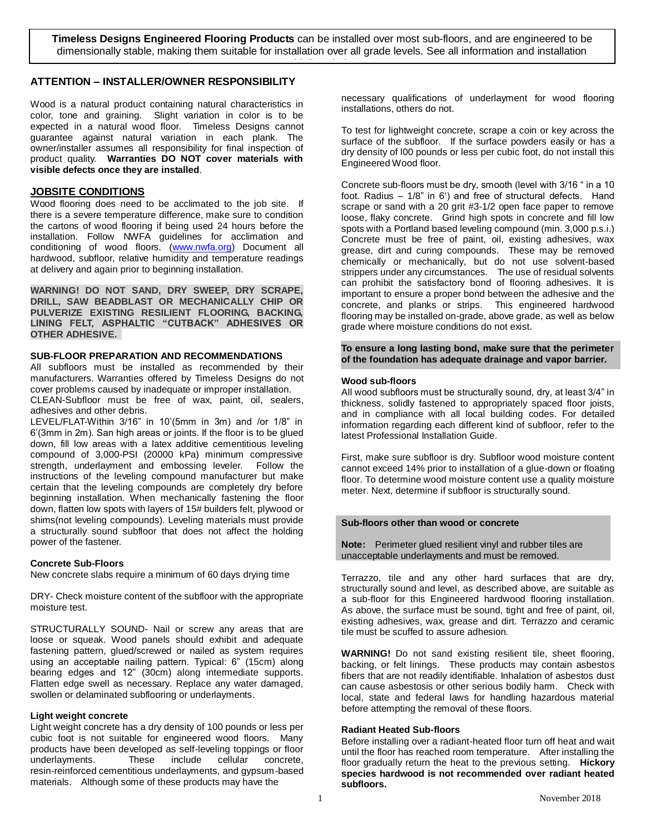**Timeless Designs Engineered Flooring Products** can be installed over most sub-floors, and are engineered to be dimensionally stable, making them suitable for installation over all grade levels. See all information and installation guidelines below.

# **ATTENTION – INSTALLER/OWNER RESPONSIBILITY**

Wood is a natural product containing natural characteristics in color, tone and graining. Slight variation in color is to be expected in a natural wood floor. Timeless Designs cannot guarantee against natural variation in each plank. The owner/installer assumes all responsibility for final inspection of product quality. **Warranties DO NOT cover materials with visible defects once they are installed**.

### **JOBSITE CONDITIONS**

Wood flooring does need to be acclimated to the job site. If there is a severe temperature difference, make sure to condition the cartons of wood flooring if being used 24 hours before the installation. Follow NWFA guidelines for acclimation and conditioning of wood floors. [\(www.nwfa.org\)](http://www.nwfa.org/) Document all hardwood, subfloor, relative humidity and temperature readings at delivery and again prior to beginning installation.

**WARNING! DO NOT SAND, DRY SWEEP, DRY SCRAPE, DRILL, SAW BEADBLAST OR MECHANICALLY CHIP OR PULVERIZE EXISTING RESILIENT FLOORING, BACKING, LINING FELT, ASPHALTIC "CUTBACK" ADHESIVES OR OTHER ADHESIVE.** 

#### **SUB-FLOOR PREPARATION AND RECOMMENDATIONS**

All subfloors must be installed as recommended by their manufacturers. Warranties offered by Timeless Designs do not cover problems caused by inadequate or improper installation.

CLEAN-Subfloor must be free of wax, paint, oil, sealers, adhesives and other debris.

LEVEL/FLAT-Within 3/16" in 10'(5mm in 3m) and /or 1/8" in 6'(3mm in 2m). San high areas or joints. If the floor is to be glued down, fill low areas with a latex additive cementitious leveling compound of 3,000-PSI (20000 kPa) minimum compressive strength, underlayment and embossing leveler. Follow the instructions of the leveling compound manufacturer but make certain that the leveling compounds are completely dry before beginning installation. When mechanically fastening the floor down, flatten low spots with layers of 15# builders felt, plywood or shims(not leveling compounds). Leveling materials must provide a structurally sound subfloor that does not affect the holding power of the fastener.

### **Concrete Sub-Floors**

New concrete slabs require a minimum of 60 days drying time

DRY- Check moisture content of the subfloor with the appropriate moisture test.

STRUCTURALLY SOUND- Nail or screw any areas that are loose or squeak. Wood panels should exhibit and adequate fastening pattern, glued/screwed or nailed as system requires using an acceptable nailing pattern. Typical: 6" (15cm) along bearing edges and 12" (30cm) along intermediate supports. Flatten edge swell as necessary. Replace any water damaged, swollen or delaminated subflooring or underlayments.

# **Light weight concrete**

Light weight concrete has a dry density of 100 pounds or less per cubic foot is not suitable for engineered wood floors. Many products have been developed as self-leveling toppings or floor underlayments. resin-reinforced cementitious underlayments, and gypsum-based materials. Although some of these products may have the

necessary qualifications of underlayment for wood flooring installations, others do not.

To test for lightweight concrete, scrape a coin or key across the surface of the subfloor. If the surface powders easily or has a dry density of l00 pounds or less per cubic foot, do not install this Engineered Wood floor.

Concrete sub-floors must be dry, smooth (level with 3/16 " in a 10 foot. Radius – 1/8" in 6') and free of structural defects. Hand scrape or sand with a 20 grit #3-1/2 open face paper to remove loose, flaky concrete. Grind high spots in concrete and fill low spots with a Portland based leveling compound (min. 3,000 p.s.i.) Concrete must be free of paint, oil, existing adhesives, wax grease, dirt and curing compounds. These may be removed chemically or mechanically, but do not use solvent-based strippers under any circumstances. The use of residual solvents can prohibit the satisfactory bond of flooring adhesives. It is important to ensure a proper bond between the adhesive and the concrete, and planks or strips. This engineered hardwood flooring may be installed on-grade, above grade, as well as below grade where moisture conditions do not exist.

**To ensure a long lasting bond, make sure that the perimeter of the foundation has adequate drainage and vapor barrier.** 

### **Wood sub-floors**

All wood subfloors must be structurally sound, dry, at least 3/4" in thickness, solidly fastened to appropriately spaced floor joists, and in compliance with all local building codes. For detailed information regarding each different kind of subfloor, refer to the latest Professional Installation Guide.

First, make sure subfloor is dry. Subfloor wood moisture content cannot exceed 14% prior to installation of a glue-down or floating floor. To determine wood moisture content use a quality moisture meter. Next, determine if subfloor is structurally sound.

### **Sub-floors other than wood or concrete**

**Note:** Perimeter glued resilient vinyl and rubber tiles are unacceptable underlayments and must be removed.

Terrazzo, tile and any other hard surfaces that are dry, structurally sound and level, as described above, are suitable as a sub-floor for this Engineered hardwood flooring installation. As above, the surface must be sound, tight and free of paint, oil, existing adhesives, wax, grease and dirt. Terrazzo and ceramic tile must be scuffed to assure adhesion.

**WARNING!** Do not sand existing resilient tile, sheet flooring, backing, or felt linings. These products may contain asbestos fibers that are not readily identifiable. Inhalation of asbestos dust can cause asbestosis or other serious bodily harm. Check with local, state and federal laws for handling hazardous material before attempting the removal of these floors.

### **Radiant Heated Sub-floors**

Before installing over a radiant-heated floor turn off heat and wait until the floor has reached room temperature. After installing the floor gradually return the heat to the previous setting. **Hickory species hardwood is not recommended over radiant heated subfloors.**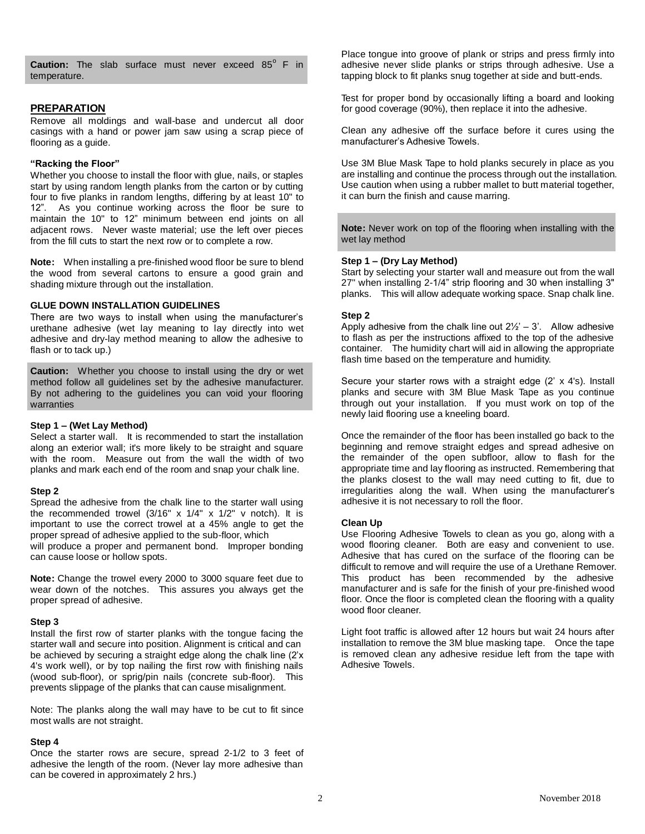Caution: The slab surface must never exceed 85° F in temperature.

### **PREPARATION**

Remove all moldings and wall-base and undercut all door casings with a hand or power jam saw using a scrap piece of flooring as a guide.

### **"Racking the Floor"**

Whether you choose to install the floor with glue, nails, or staples start by using random length planks from the carton or by cutting four to five planks in random lengths, differing by at least 10" to 12". As you continue working across the floor be sure to maintain the 10" to 12" minimum between end joints on all adjacent rows. Never waste material; use the left over pieces from the fill cuts to start the next row or to complete a row.

**Note:** When installing a pre-finished wood floor be sure to blend the wood from several cartons to ensure a good grain and shading mixture through out the installation.

### **GLUE DOWN INSTALLATION GUIDELINES**

There are two ways to install when using the manufacturer's urethane adhesive (wet lay meaning to lay directly into wet adhesive and dry-lay method meaning to allow the adhesive to flash or to tack up.)

**Caution:** Whether you choose to install using the dry or wet method follow all guidelines set by the adhesive manufacturer. By not adhering to the guidelines you can void your flooring warranties

### **Step 1 – (Wet Lay Method)**

Select a starter wall. It is recommended to start the installation along an exterior wall; it's more likely to be straight and square with the room. Measure out from the wall the width of two planks and mark each end of the room and snap your chalk line.

#### **Step 2**

Spread the adhesive from the chalk line to the starter wall using the recommended trowel  $(3/16" \times 1/4" \times 1/2" \times$  notch). It is important to use the correct trowel at a 45% angle to get the proper spread of adhesive applied to the sub-floor, which

will produce a proper and permanent bond. Improper bonding can cause loose or hollow spots.

**Note:** Change the trowel every 2000 to 3000 square feet due to wear down of the notches. This assures you always get the proper spread of adhesive.

#### **Step 3**

Install the first row of starter planks with the tongue facing the starter wall and secure into position. Alignment is critical and can be achieved by securing a straight edge along the chalk line (2'x 4's work well), or by top nailing the first row with finishing nails (wood sub-floor), or sprig/pin nails (concrete sub-floor). This prevents slippage of the planks that can cause misalignment.

Note: The planks along the wall may have to be cut to fit since most walls are not straight.

### **Step 4**

Once the starter rows are secure, spread 2-1/2 to 3 feet of adhesive the length of the room. (Never lay more adhesive than can be covered in approximately 2 hrs.)

Place tongue into groove of plank or strips and press firmly into adhesive never slide planks or strips through adhesive. Use a tapping block to fit planks snug together at side and butt-ends.

Test for proper bond by occasionally lifting a board and looking for good coverage (90%), then replace it into the adhesive.

Clean any adhesive off the surface before it cures using the manufacturer's Adhesive Towels.

Use 3M Blue Mask Tape to hold planks securely in place as you are installing and continue the process through out the installation. Use caution when using a rubber mallet to butt material together, it can burn the finish and cause marring.

**Note:** Never work on top of the flooring when installing with the wet lay method

### **Step 1 – (Dry Lay Method)**

Start by selecting your starter wall and measure out from the wall 27" when installing 2-1/4" strip flooring and 30 when installing 3" planks. This will allow adequate working space. Snap chalk line.

### **Step 2**

Apply adhesive from the chalk line out  $2\frac{1}{2}$  – 3'. Allow adhesive to flash as per the instructions affixed to the top of the adhesive container. The humidity chart will aid in allowing the appropriate flash time based on the temperature and humidity.

Secure your starter rows with a straight edge (2' x 4's). Install planks and secure with 3M Blue Mask Tape as you continue through out your installation. If you must work on top of the newly laid flooring use a kneeling board.

Once the remainder of the floor has been installed go back to the beginning and remove straight edges and spread adhesive on the remainder of the open subfloor, allow to flash for the appropriate time and lay flooring as instructed. Remembering that the planks closest to the wall may need cutting to fit, due to irregularities along the wall. When using the manufacturer's adhesive it is not necessary to roll the floor.

### **Clean Up**

Use Flooring Adhesive Towels to clean as you go, along with a wood flooring cleaner. Both are easy and convenient to use. Adhesive that has cured on the surface of the flooring can be difficult to remove and will require the use of a Urethane Remover. This product has been recommended by the adhesive manufacturer and is safe for the finish of your pre-finished wood floor. Once the floor is completed clean the flooring with a quality wood floor cleaner.

Light foot traffic is allowed after 12 hours but wait 24 hours after installation to remove the 3M blue masking tape. Once the tape is removed clean any adhesive residue left from the tape with Adhesive Towels.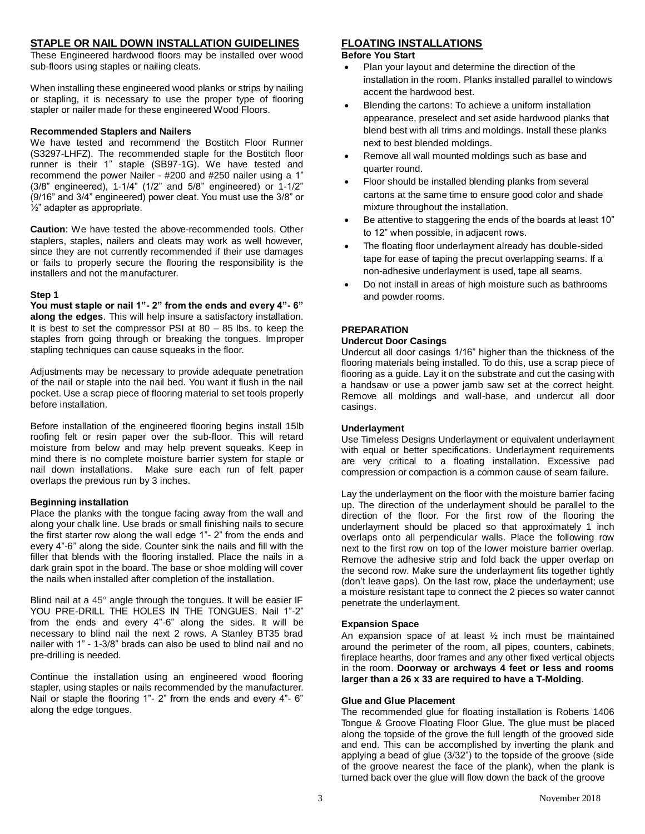### **STAPLE OR NAIL DOWN INSTALLATION GUIDELINES**

These Engineered hardwood floors may be installed over wood sub-floors using staples or nailing cleats.

When installing these engineered wood planks or strips by nailing or stapling, it is necessary to use the proper type of flooring stapler or nailer made for these engineered Wood Floors.

### **Recommended Staplers and Nailers**

We have tested and recommend the Bostitch Floor Runner (S3297-LHFZ). The recommended staple for the Bostitch floor runner is their 1" staple (SB97-1G). We have tested and recommend the power Nailer - #200 and #250 nailer using a 1" (3/8" engineered), 1-1/4" (1/2" and 5/8" engineered) or 1-1/2" (9/16" and 3/4" engineered) power cleat. You must use the 3/8" or ½" adapter as appropriate.

**Caution**: We have tested the above-recommended tools. Other staplers, staples, nailers and cleats may work as well however, since they are not currently recommended if their use damages or fails to properly secure the flooring the responsibility is the installers and not the manufacturer.

### **Step 1**

**You must staple or nail 1"- 2" from the ends and every 4"- 6" along the edges**. This will help insure a satisfactory installation. It is best to set the compressor PSI at 80 – 85 lbs. to keep the staples from going through or breaking the tongues. Improper stapling techniques can cause squeaks in the floor.

Adjustments may be necessary to provide adequate penetration of the nail or staple into the nail bed. You want it flush in the nail pocket. Use a scrap piece of flooring material to set tools properly before installation.

Before installation of the engineered flooring begins install 15lb roofing felt or resin paper over the sub-floor. This will retard moisture from below and may help prevent squeaks. Keep in mind there is no complete moisture barrier system for staple or nail down installations. Make sure each run of felt paper overlaps the previous run by 3 inches.

### **Beginning installation**

Place the planks with the tongue facing away from the wall and along your chalk line. Use brads or small finishing nails to secure the first starter row along the wall edge 1"- 2" from the ends and every 4"-6" along the side. Counter sink the nails and fill with the filler that blends with the flooring installed. Place the nails in a dark grain spot in the board. The base or shoe molding will cover the nails when installed after completion of the installation.

Blind nail at a 45° angle through the tongues. It will be easier IF YOU PRE-DRILL THE HOLES IN THE TONGUES. Nail 1"-2" from the ends and every 4"-6" along the sides. It will be necessary to blind nail the next 2 rows. A Stanley BT35 brad nailer with 1" - 1-3/8" brads can also be used to blind nail and no pre-drilling is needed.

Continue the installation using an engineered wood flooring stapler, using staples or nails recommended by the manufacturer. Nail or staple the flooring 1"- 2" from the ends and every 4"- 6" along the edge tongues.

### **FLOATING INSTALLATIONS**

#### **Before You Start**

- Plan your layout and determine the direction of the installation in the room. Planks installed parallel to windows accent the hardwood best.
- Blending the cartons: To achieve a uniform installation appearance, preselect and set aside hardwood planks that blend best with all trims and moldings. Install these planks next to best blended moldings.
- Remove all wall mounted moldings such as base and quarter round.
- Floor should be installed blending planks from several cartons at the same time to ensure good color and shade mixture throughout the installation.
- Be attentive to staggering the ends of the boards at least 10" to 12" when possible, in adjacent rows.
- The floating floor underlayment already has double-sided tape for ease of taping the precut overlapping seams. If a non-adhesive underlayment is used, tape all seams.
- Do not install in areas of high moisture such as bathrooms and powder rooms.

# **PREPARATION**

### **Undercut Door Casings**

Undercut all door casings 1/16" higher than the thickness of the flooring materials being installed. To do this, use a scrap piece of flooring as a guide. Lay it on the substrate and cut the casing with a handsaw or use a power jamb saw set at the correct height. Remove all moldings and wall-base, and undercut all door casings.

### **Underlayment**

Use Timeless Designs Underlayment or equivalent underlayment with equal or better specifications. Underlayment requirements are very critical to a floating installation. Excessive pad compression or compaction is a common cause of seam failure.

Lay the underlayment on the floor with the moisture barrier facing up. The direction of the underlayment should be parallel to the direction of the floor. For the first row of the flooring the underlayment should be placed so that approximately 1 inch overlaps onto all perpendicular walls. Place the following row next to the first row on top of the lower moisture barrier overlap. Remove the adhesive strip and fold back the upper overlap on the second row. Make sure the underlayment fits together tightly (don't leave gaps). On the last row, place the underlayment; use a moisture resistant tape to connect the 2 pieces so water cannot penetrate the underlayment.

### **Expansion Space**

An expansion space of at least ½ inch must be maintained around the perimeter of the room, all pipes, counters, cabinets, fireplace hearths, door frames and any other fixed vertical objects in the room. **Doorway or archways 4 feet or less and rooms larger than a 26 x 33 are required to have a T-Molding**.

### **Glue and Glue Placement**

The recommended glue for floating installation is Roberts 1406 Tongue & Groove Floating Floor Glue. The glue must be placed along the topside of the grove the full length of the grooved side and end. This can be accomplished by inverting the plank and applying a bead of glue (3/32") to the topside of the groove (side of the groove nearest the face of the plank), when the plank is turned back over the glue will flow down the back of the groove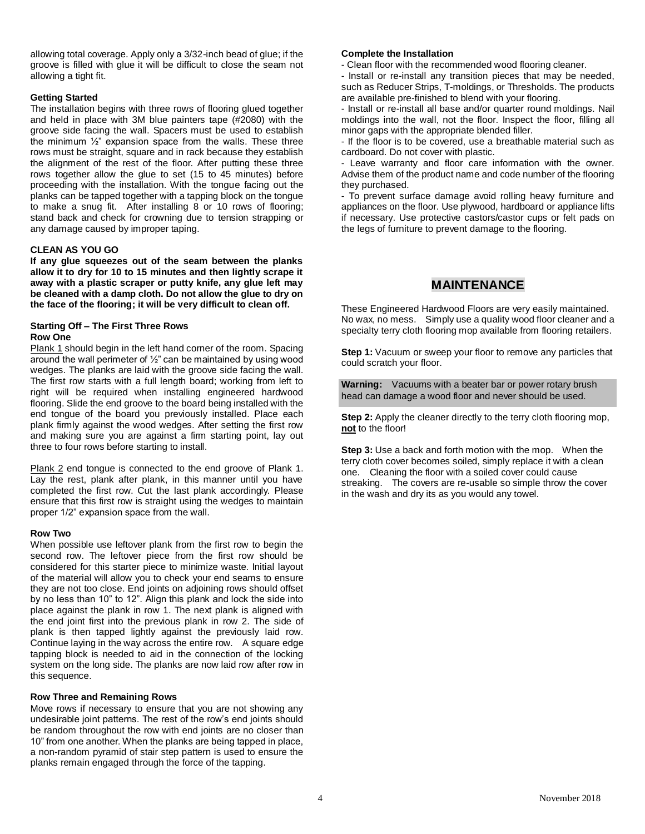allowing total coverage. Apply only a 3/32-inch bead of glue; if the groove is filled with glue it will be difficult to close the seam not allowing a tight fit.

### **Getting Started**

The installation begins with three rows of flooring glued together and held in place with 3M blue painters tape (#2080) with the groove side facing the wall. Spacers must be used to establish the minimum ½" expansion space from the walls. These three rows must be straight, square and in rack because they establish the alignment of the rest of the floor. After putting these three rows together allow the glue to set (15 to 45 minutes) before proceeding with the installation. With the tongue facing out the planks can be tapped together with a tapping block on the tongue to make a snug fit. After installing 8 or 10 rows of flooring; stand back and check for crowning due to tension strapping or any damage caused by improper taping.

### **CLEAN AS YOU GO**

**If any glue squeezes out of the seam between the planks allow it to dry for 10 to 15 minutes and then lightly scrape it away with a plastic scraper or putty knife, any glue left may be cleaned with a damp cloth. Do not allow the glue to dry on the face of the flooring; it will be very difficult to clean off.**

### **Starting Off – The First Three Rows Row One**

Plank 1 should begin in the left hand corner of the room. Spacing around the wall perimeter of ½" can be maintained by using wood wedges. The planks are laid with the groove side facing the wall. The first row starts with a full length board; working from left to right will be required when installing engineered hardwood flooring. Slide the end groove to the board being installed with the end tongue of the board you previously installed. Place each plank firmly against the wood wedges. After setting the first row and making sure you are against a firm starting point, lay out three to four rows before starting to install.

Plank 2 end tongue is connected to the end groove of Plank 1. Lay the rest, plank after plank, in this manner until you have completed the first row. Cut the last plank accordingly. Please ensure that this first row is straight using the wedges to maintain proper 1/2" expansion space from the wall.

#### **Row Two**

When possible use leftover plank from the first row to begin the second row. The leftover piece from the first row should be considered for this starter piece to minimize waste. Initial layout of the material will allow you to check your end seams to ensure they are not too close. End joints on adjoining rows should offset by no less than 10" to 12". Align this plank and lock the side into place against the plank in row 1. The next plank is aligned with the end joint first into the previous plank in row 2. The side of plank is then tapped lightly against the previously laid row. Continue laying in the way across the entire row. A square edge tapping block is needed to aid in the connection of the locking system on the long side. The planks are now laid row after row in this sequence.

#### **Row Three and Remaining Rows**

Move rows if necessary to ensure that you are not showing any undesirable joint patterns. The rest of the row's end joints should be random throughout the row with end joints are no closer than 10" from one another. When the planks are being tapped in place, a non-random pyramid of stair step pattern is used to ensure the planks remain engaged through the force of the tapping.

### **Complete the Installation**

- Clean floor with the recommended wood flooring cleaner.

- Install or re-install any transition pieces that may be needed, such as Reducer Strips, T-moldings, or Thresholds. The products are available pre-finished to blend with your flooring.

- Install or re-install all base and/or quarter round moldings. Nail moldings into the wall, not the floor. Inspect the floor, filling all minor gaps with the appropriate blended filler.

- If the floor is to be covered, use a breathable material such as cardboard. Do not cover with plastic.

- Leave warranty and floor care information with the owner. Advise them of the product name and code number of the flooring they purchased.

- To prevent surface damage avoid rolling heavy furniture and appliances on the floor. Use plywood, hardboard or appliance lifts if necessary. Use protective castors/castor cups or felt pads on the legs of furniture to prevent damage to the flooring.

# **MAINTENANCE**

These Engineered Hardwood Floors are very easily maintained. No wax, no mess. Simply use a quality wood floor cleaner and a specialty terry cloth flooring mop available from flooring retailers.

**Step 1:** Vacuum or sweep your floor to remove any particles that could scratch your floor.

**Warning:** Vacuums with a beater bar or power rotary brush head can damage a wood floor and never should be used.

**Step 2:** Apply the cleaner directly to the terry cloth flooring mop, **not** to the floor!

**Step 3:** Use a back and forth motion with the mop. When the terry cloth cover becomes soiled, simply replace it with a clean one. Cleaning the floor with a soiled cover could cause streaking. The covers are re-usable so simple throw the cover in the wash and dry its as you would any towel.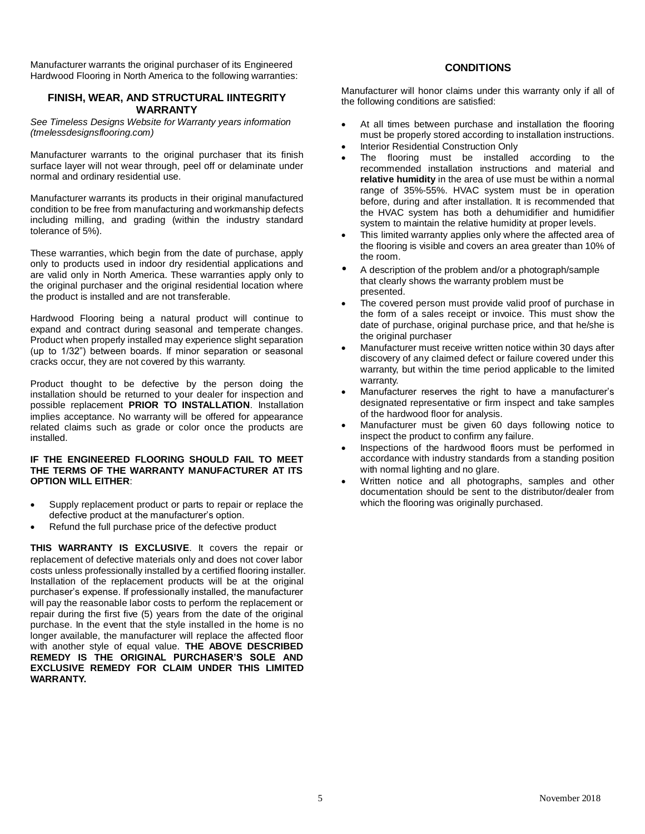Manufacturer warrants the original purchaser of its Engineered Hardwood Flooring in North America to the following warranties:

# **FINISH, WEAR, AND STRUCTURAL IINTEGRITY WARRANTY**

*See Timeless Designs Website for Warranty years information (tmelessdesignsflooring.com)*

Manufacturer warrants to the original purchaser that its finish surface layer will not wear through, peel off or delaminate under normal and ordinary residential use.

Manufacturer warrants its products in their original manufactured condition to be free from manufacturing and workmanship defects including milling, and grading (within the industry standard tolerance of 5%).

These warranties, which begin from the date of purchase, apply only to products used in indoor dry residential applications and are valid only in North America. These warranties apply only to the original purchaser and the original residential location where the product is installed and are not transferable.

Hardwood Flooring being a natural product will continue to expand and contract during seasonal and temperate changes. Product when properly installed may experience slight separation (up to 1/32") between boards. If minor separation or seasonal cracks occur, they are not covered by this warranty.

Product thought to be defective by the person doing the installation should be returned to your dealer for inspection and possible replacement **PRIOR TO INSTALLATION**. Installation implies acceptance. No warranty will be offered for appearance related claims such as grade or color once the products are installed.

### **IF THE ENGINEERED FLOORING SHOULD FAIL TO MEET THE TERMS OF THE WARRANTY MANUFACTURER AT ITS OPTION WILL EITHER**:

- Supply replacement product or parts to repair or replace the defective product at the manufacturer's option.
- Refund the full purchase price of the defective product

**THIS WARRANTY IS EXCLUSIVE**. It covers the repair or replacement of defective materials only and does not cover labor costs unless professionally installed by a certified flooring installer. Installation of the replacement products will be at the original purchaser's expense. If professionally installed, the manufacturer will pay the reasonable labor costs to perform the replacement or repair during the first five (5) years from the date of the original purchase. In the event that the style installed in the home is no longer available, the manufacturer will replace the affected floor with another style of equal value. **THE ABOVE DESCRIBED REMEDY IS THE ORIGINAL PURCHASER'S SOLE AND EXCLUSIVE REMEDY FOR CLAIM UNDER THIS LIMITED WARRANTY.**

# **CONDITIONS**

Manufacturer will honor claims under this warranty only if all of the following conditions are satisfied:

- At all times between purchase and installation the flooring must be properly stored according to installation instructions.
- Interior Residential Construction Only
- The flooring must be installed according to the recommended installation instructions and material and **relative humidity** in the area of use must be within a normal range of 35%-55%. HVAC system must be in operation before, during and after installation. It is recommended that the HVAC system has both a dehumidifier and humidifier system to maintain the relative humidity at proper levels.
- This limited warranty applies only where the affected area of the flooring is visible and covers an area greater than 10% of the room.
- A description of the problem and/or a photograph/sample that clearly shows the warranty problem must be presented.
- The covered person must provide valid proof of purchase in the form of a sales receipt or invoice. This must show the date of purchase, original purchase price, and that he/she is the original purchaser
- Manufacturer must receive written notice within 30 days after discovery of any claimed defect or failure covered under this warranty, but within the time period applicable to the limited warranty.
- Manufacturer reserves the right to have a manufacturer's designated representative or firm inspect and take samples of the hardwood floor for analysis.
- Manufacturer must be given 60 days following notice to inspect the product to confirm any failure.
- Inspections of the hardwood floors must be performed in accordance with industry standards from a standing position with normal lighting and no glare.
- Written notice and all photographs, samples and other documentation should be sent to the distributor/dealer from which the flooring was originally purchased.